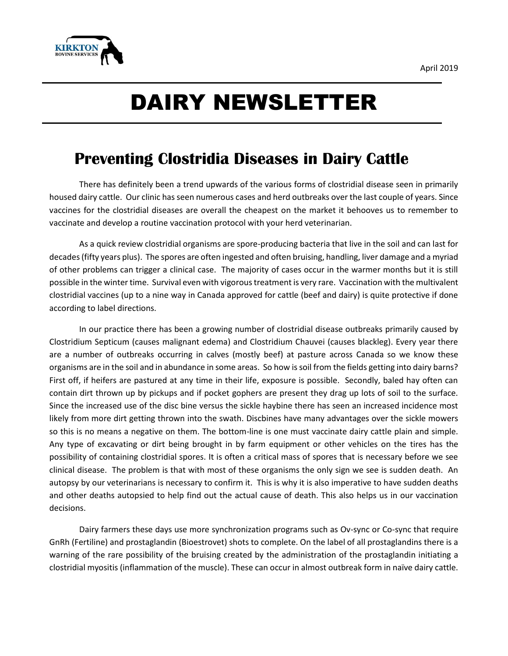

## DAIRY NEWSLETTER

## **Preventing Clostridia Diseases in Dairy Cattle**

There has definitely been a trend upwards of the various forms of clostridial disease seen in primarily housed dairy cattle. Our clinic has seen numerous cases and herd outbreaks over the last couple of years. Since vaccines for the clostridial diseases are overall the cheapest on the market it behooves us to remember to vaccinate and develop a routine vaccination protocol with your herd veterinarian.

As a quick review clostridial organisms are spore-producing bacteria that live in the soil and can last for decades (fifty years plus). The spores are often ingested and often bruising, handling, liver damage and a myriad of other problems can trigger a clinical case. The majority of cases occur in the warmer months but it is still possible in the winter time. Survival even with vigorous treatment is very rare. Vaccination with the multivalent clostridial vaccines (up to a nine way in Canada approved for cattle (beef and dairy) is quite protective if done according to label directions.

In our practice there has been a growing number of clostridial disease outbreaks primarily caused by Clostridium Septicum (causes malignant edema) and Clostridium Chauvei (causes blackleg). Every year there are a number of outbreaks occurring in calves (mostly beef) at pasture across Canada so we know these organisms are in the soil and in abundance in some areas. So how is soil from the fields getting into dairy barns? First off, if heifers are pastured at any time in their life, exposure is possible. Secondly, baled hay often can contain dirt thrown up by pickups and if pocket gophers are present they drag up lots of soil to the surface. Since the increased use of the disc bine versus the sickle haybine there has seen an increased incidence most likely from more dirt getting thrown into the swath. Discbines have many advantages over the sickle mowers so this is no means a negative on them. The bottom-line is one must vaccinate dairy cattle plain and simple. Any type of excavating or dirt being brought in by farm equipment or other vehicles on the tires has the possibility of containing clostridial spores. It is often a critical mass of spores that is necessary before we see clinical disease. The problem is that with most of these organisms the only sign we see is sudden death. An autopsy by our veterinarians is necessary to confirm it. This is why it is also imperative to have sudden deaths and other deaths autopsied to help find out the actual cause of death. This also helps us in our vaccination decisions.

Dairy farmers these days use more synchronization programs such as Ov-sync or Co-sync that require GnRh (Fertiline) and prostaglandin (Bioestrovet) shots to complete. On the label of all prostaglandins there is a warning of the rare possibility of the bruising created by the administration of the prostaglandin initiating a clostridial myositis (inflammation of the muscle). These can occur in almost outbreak form in naïve dairy cattle.